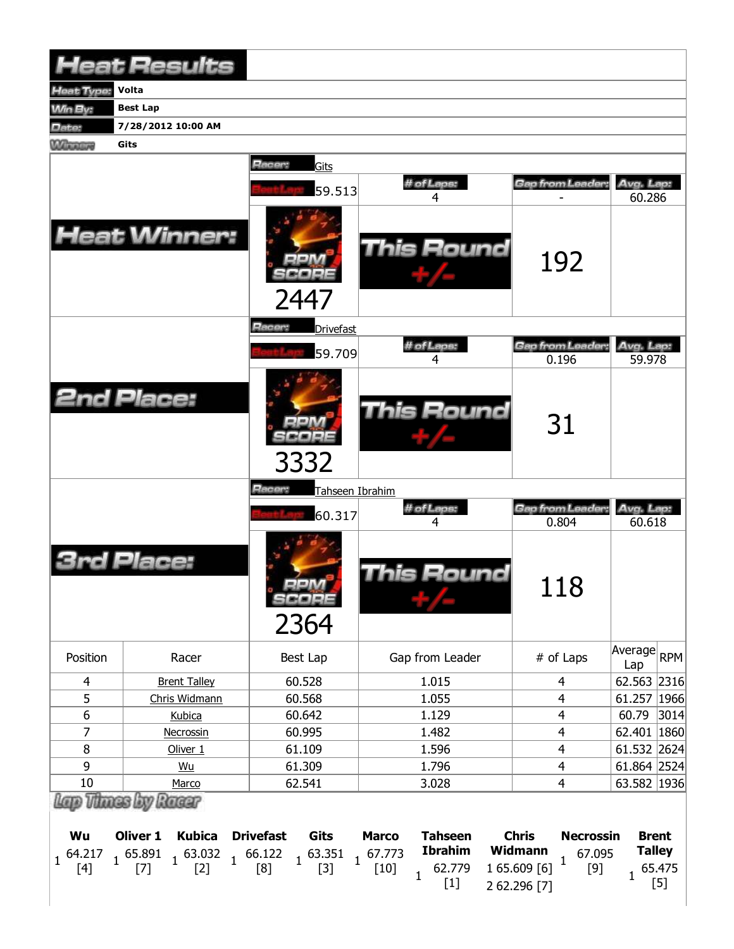|                   | <b>Heat Results</b>                                                                                                                                                                                |                                             |                                                                                      |                                                                            |                                                  |  |
|-------------------|----------------------------------------------------------------------------------------------------------------------------------------------------------------------------------------------------|---------------------------------------------|--------------------------------------------------------------------------------------|----------------------------------------------------------------------------|--------------------------------------------------|--|
| Heat Type:        | Volta                                                                                                                                                                                              |                                             |                                                                                      |                                                                            |                                                  |  |
| Win By:           | <b>Best Lap</b>                                                                                                                                                                                    |                                             |                                                                                      |                                                                            |                                                  |  |
| Date:             | 7/28/2012 10:00 AM                                                                                                                                                                                 |                                             |                                                                                      |                                                                            |                                                  |  |
| <b>Winners</b>    | Gits                                                                                                                                                                                               |                                             |                                                                                      |                                                                            |                                                  |  |
|                   |                                                                                                                                                                                                    | Racer:<br>Gits<br>59.513                    | # of Laps:<br>4                                                                      | Gap from Leader:                                                           | Avg. Lap:<br>60.286                              |  |
|                   | <b>Heat Winner:</b>                                                                                                                                                                                | 2447                                        | <b>This Round</b>                                                                    | 192                                                                        |                                                  |  |
|                   |                                                                                                                                                                                                    | <b>Hacer:</b><br><b>Drivefast</b><br>59.709 | # of Laps:<br>4                                                                      | Gap from Leader.<br>0.196                                                  | Avg. Lap:<br>59.978                              |  |
| <b>2nd Place:</b> |                                                                                                                                                                                                    | 3332                                        | <b>This Round</b>                                                                    | 31                                                                         |                                                  |  |
|                   |                                                                                                                                                                                                    | Racer:<br>Tahseen Ibrahim<br>60.317         | # of Laps:<br>4                                                                      | Gap from Leader:<br>0.804                                                  | Avg. Lap:<br>60.618                              |  |
|                   | Place:                                                                                                                                                                                             | oom<br><b>SCOPE</b><br>2364                 | <b>This Round</b>                                                                    | 118                                                                        |                                                  |  |
| Position          | Racer                                                                                                                                                                                              | Best Lap                                    | Gap from Leader                                                                      | # of Laps                                                                  | Average<br><b>RPM</b><br>Lap                     |  |
| $\overline{4}$    | <b>Brent Talley</b>                                                                                                                                                                                | 60.528                                      | 1.015                                                                                | $\overline{4}$                                                             | 62.563 2316                                      |  |
| 5                 | Chris Widmann                                                                                                                                                                                      | 60.568                                      | 1.055                                                                                | 4                                                                          | 61.257 1966                                      |  |
| $\boldsymbol{6}$  | Kubica                                                                                                                                                                                             | 60.642                                      | 1.129                                                                                | 4                                                                          | 60.79<br>3014                                    |  |
| 7                 | Necrossin                                                                                                                                                                                          | 60.995                                      | 1.482                                                                                | $\overline{4}$                                                             | 62.401 1860                                      |  |
| 8                 | Oliver <sub>1</sub>                                                                                                                                                                                | 61.109                                      | 1.596                                                                                | $\overline{4}$<br>$\overline{4}$                                           | 61.532 2624                                      |  |
| 9                 | Wu                                                                                                                                                                                                 | 61.309                                      | 1.796                                                                                |                                                                            | 61.864 2524                                      |  |
| 10                | Marco                                                                                                                                                                                              | 62.541                                      | 3.028                                                                                | $\overline{4}$                                                             | 63.582 1936                                      |  |
| Wu                | Lap Thues by Racer<br><b>Oliver 1</b><br><b>Kubica</b>                                                                                                                                             | <b>Drivefast</b><br>Gits                    | <b>Tahseen</b><br><b>Marco</b>                                                       | <b>Chris</b><br><b>Necrossin</b>                                           | <b>Brent</b>                                     |  |
|                   | $\begin{array}{cccc} 64.217 & 1 & 65.891 & 1 & 63.032 & 1 & 66.122 & 1 & 63.351 \\ \left[4\right] & 1 & \left[7\right] & 1 & \left[2\right] & 1 & \left[8\right] & 1 & \left[3\right] \end{array}$ |                                             | <b>Ibrahim</b><br>$1\frac{67.773}{1}$<br>$[10]$<br>62.779<br>$\overline{1}$<br>$[1]$ | Widmann<br>67.095<br>$\mathbf{1}$<br>1 65.609 [6]<br>$[9]$<br>2 62.296 [7] | <b>Talley</b><br>65.475<br>$\mathbf{1}$<br>$[5]$ |  |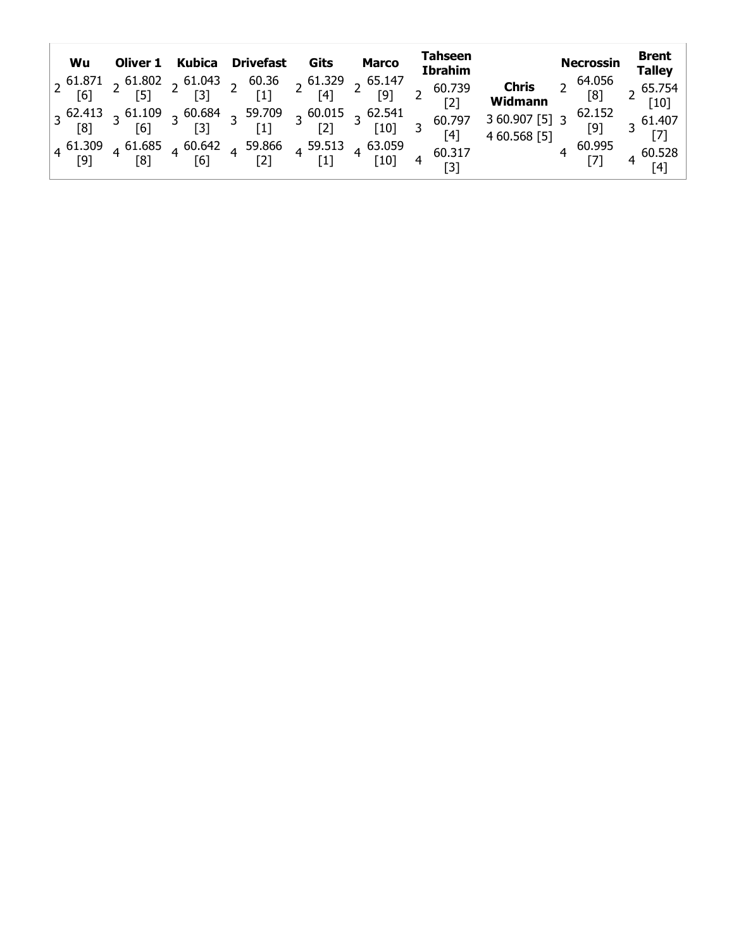| Wu |  | Oliver 1 Kubica Drivefast Gits | <b>Marco</b> | Tahseen<br><b>Ibrahim</b>                                                                                                                                                                                                                                                     | <b>Necrossin</b>                                                                   | <b>Brent</b><br><b>Talley</b> |
|----|--|--------------------------------|--------------|-------------------------------------------------------------------------------------------------------------------------------------------------------------------------------------------------------------------------------------------------------------------------------|------------------------------------------------------------------------------------|-------------------------------|
|    |  |                                |              | $\begin{bmatrix} 2 & 61.871 & 2 & 61.802 & 2 & 61.043 & 2 & 60.36 & 2 & 61.329 & 2 & 65.147 & 2 & 60.739 \ 6 & 6 & 6 & 6 & 6 & 6 \ \end{bmatrix}$ $\begin{bmatrix} 2 & 61.802 & 2 & 61.043 & 2 & 60.36 & 2 & 61.329 & 2 & 65.147 \ 2 & 6 & 6 & 6 & 6 \ \end{bmatrix}$         | <b>Chris</b> 2 $^{64.056}$<br><b>Widmann</b> [8]                                   | 2 65.754<br>[10]              |
|    |  |                                |              | $\begin{array}{ c ccccccccccc }\n3 & 62.413 & 3 & 61.109 & 3 & 60.684 & 3 & 59.709 & 3 & 60.015 & 3 & 62.541 & 60.797 \\ \hline\n80 & 8 & 8 & 16 & 3 & 3 & 3 & 1 & 3 & 2 & 3 & 1 & 3 & 60.797 \\ \hline\n\end{array}$<br>[4]                                                  | 3 60.907 [5]  3 <sup>62.152</sup><br>4 60 568 FF1              [9]<br>4 60.568 [5] | $3\frac{61.407}{5}$           |
|    |  |                                |              | $\begin{bmatrix} 4 & 61.309 & 4 & 61.685 & 4 & 60.642 & 4 & 59.866 & 4 & 59.513 & 4 & 63.059 \\ 8 & 8 & 8 & 8 & 6 & 6 & 6 & 6 \end{bmatrix}$ $\begin{bmatrix} 4 & 61.309 & 4 & 61.685 & 4 & 60.317 \\ 1 & 8 & 8 & 60.317 & 4 & 60.317 \\ 1 & 1 & 1 & 1 & 1 & 1 \end{bmatrix}$ | 4 $\frac{60.995}{[7]}$ 4 $\frac{60.529}{[7]}$                                      | [4]                           |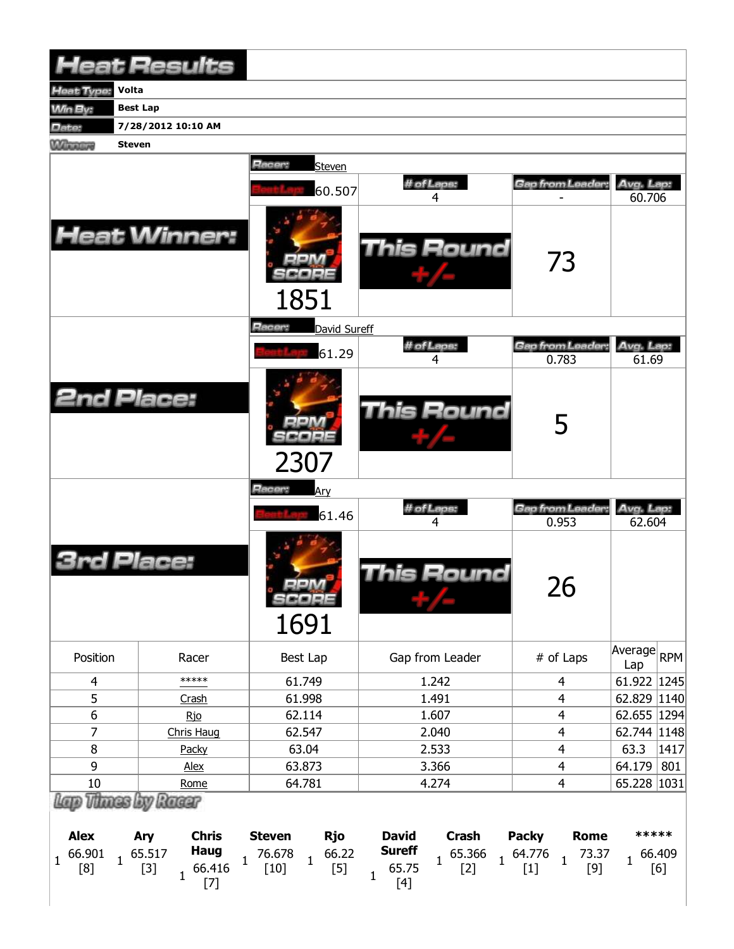|                                                              | <b>Heat Results</b>                                                                      |                                                                                   |                                                                                                           |                                                                                        |                                               |  |
|--------------------------------------------------------------|------------------------------------------------------------------------------------------|-----------------------------------------------------------------------------------|-----------------------------------------------------------------------------------------------------------|----------------------------------------------------------------------------------------|-----------------------------------------------|--|
| <b>Heat Type:</b><br>Volta                                   |                                                                                          |                                                                                   |                                                                                                           |                                                                                        |                                               |  |
| <b>Min By:</b>                                               | <b>Best Lap</b>                                                                          |                                                                                   |                                                                                                           |                                                                                        |                                               |  |
| Date:                                                        | 7/28/2012 10:10 AM                                                                       |                                                                                   |                                                                                                           |                                                                                        |                                               |  |
| <b>Winnipeg</b><br><b>Steven</b>                             |                                                                                          |                                                                                   |                                                                                                           |                                                                                        |                                               |  |
|                                                              | <b>Heat Winner:</b>                                                                      | Racer:<br>Steven<br>60.507                                                        | # of Laps:<br>4<br><b>This Round</b>                                                                      | Gap from Leader:<br>73                                                                 | Avg. Lap:<br>60.706                           |  |
|                                                              |                                                                                          | 1851<br>Racer:<br>David Sureff                                                    |                                                                                                           |                                                                                        |                                               |  |
|                                                              |                                                                                          | 61.29                                                                             | # of Laps:                                                                                                | Gap from Leader                                                                        | Avg. Lap:                                     |  |
|                                                              |                                                                                          |                                                                                   | 4                                                                                                         | 0.783                                                                                  | 61.69                                         |  |
| <b>2nd Place:</b>                                            |                                                                                          | 2307                                                                              | <b>This Round</b>                                                                                         | 5                                                                                      |                                               |  |
|                                                              |                                                                                          | Racer:<br>Ary<br>61.46                                                            | # of Laps:<br>4                                                                                           | Gap from Leader:<br>0.953                                                              | Avg. Lap:<br>62.604                           |  |
|                                                              | Place:                                                                                   | oon<br>SCORE<br>1691                                                              | <b>This Round</b>                                                                                         | 26                                                                                     |                                               |  |
| Position                                                     | Racer                                                                                    | Best Lap                                                                          | Gap from Leader                                                                                           | # of Laps                                                                              | $\sqrt{\text{Average}}$ <sub>RPM</sub><br>Lap |  |
| $\overline{4}$                                               | *****                                                                                    | 61.749                                                                            | 1.242                                                                                                     | $\overline{4}$                                                                         | 61.922 1245                                   |  |
| 5                                                            | Crash                                                                                    | 61.998                                                                            | 1.491                                                                                                     | 4                                                                                      | 62.829 1140                                   |  |
| $6\,$                                                        | Rio                                                                                      | 62.114                                                                            | 1.607                                                                                                     | $\overline{\mathbf{4}}$                                                                | 62.655 1294                                   |  |
| 7                                                            | Chris Haug                                                                               | 62.547                                                                            | 2.040                                                                                                     | $\overline{\mathbf{4}}$                                                                | 62.744   1148                                 |  |
| 8                                                            | Packy                                                                                    | 63.04                                                                             | 2.533                                                                                                     | $\overline{4}$                                                                         | 63.3<br>1417                                  |  |
| 9                                                            | Alex                                                                                     | 63.873                                                                            | 3.366                                                                                                     | $\overline{\mathbf{4}}$                                                                | 64.179<br>801                                 |  |
| $10\,$<br>Lap Thues by Racer                                 | Rome                                                                                     | 64.781                                                                            | 4.274                                                                                                     | 4                                                                                      | 65.228 1031                                   |  |
| <b>Alex</b><br>66.901<br>$\mathbf{1}$<br>$\mathbf{1}$<br>[8] | <b>Chris</b><br>Ary<br>Haug<br>65.517<br>$\mathbf{1}$<br>66.416<br>$[3]$<br>$\mathbf{1}$ | <b>Steven</b><br><b>Rjo</b><br>66.22<br>76.678<br>$\mathbf{1}$<br>$[10]$<br>$[5]$ | <b>David</b><br><b>Crash</b><br><b>Sureff</b><br>65.366<br>$\mathbf{1}$<br>65.75<br>$[2]$<br>$\mathbf{1}$ | <b>Packy</b><br><b>Rome</b><br>$1^{64.776}$<br>73.37<br>$\mathbf{1}$<br>$[1]$<br>$[9]$ | *****<br>66.409<br>$\mathbf{1}$<br>[6]        |  |
|                                                              | $[7]$                                                                                    |                                                                                   | $[4]$                                                                                                     |                                                                                        |                                               |  |